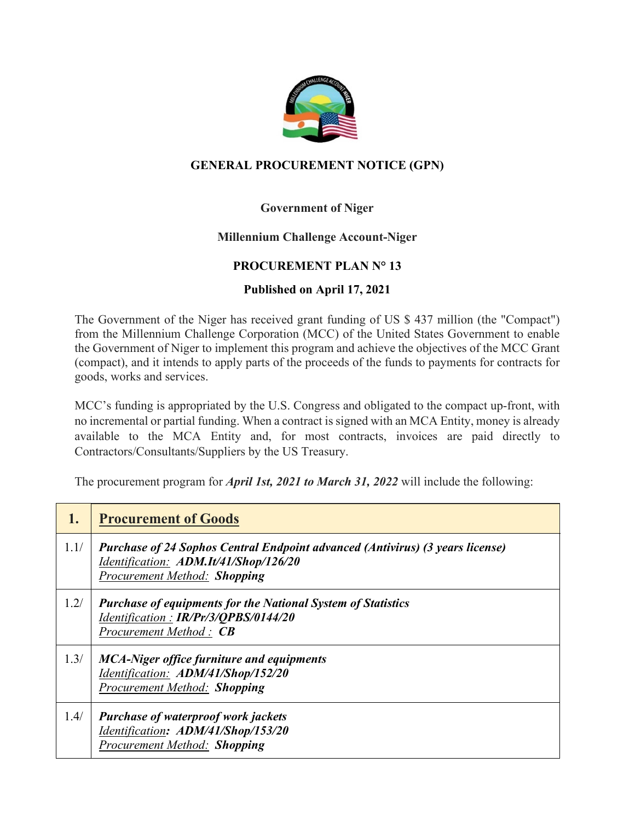

## **GENERAL PROCUREMENT NOTICE (GPN)**

# **Government of Niger**

### **Millennium Challenge Account-Niger**

### **PROCUREMENT PLAN N° 13**

### **Published on April 17, 2021**

The Government of the Niger has received grant funding of US \$ 437 million (the "Compact") from the Millennium Challenge Corporation (MCC) of the United States Government to enable the Government of Niger to implement this program and achieve the objectives of the MCC Grant (compact), and it intends to apply parts of the proceeds of the funds to payments for contracts for goods, works and services.

MCC's funding is appropriated by the U.S. Congress and obligated to the compact up-front, with no incremental or partial funding. When a contract is signed with an MCA Entity, money is already available to the MCA Entity and, for most contracts, invoices are paid directly to Contractors/Consultants/Suppliers by the US Treasury.

The procurement program for *April 1st, 2021 to March 31, 2022* will include the following:

| 1.   | <b>Procurement of Goods</b>                                                                                                                                   |
|------|---------------------------------------------------------------------------------------------------------------------------------------------------------------|
| 1.1/ | Purchase of 24 Sophos Central Endpoint advanced (Antivirus) (3 years license)<br>Identification: ADM.It/41/Shop/126/20<br><b>Procurement Method: Shopping</b> |
| 1.2/ | <b>Purchase of equipments for the National System of Statistics</b><br>Identification: IR/Pr/3/QPBS/0144/20<br>Procurement Method: CB                         |
| 1.3/ | <b>MCA-Niger office furniture and equipments</b><br>Identification: ADM/41/Shop/152/20<br><b>Procurement Method: Shopping</b>                                 |
| 1.4/ | <b>Purchase of waterproof work jackets</b><br>Identification: ADM/41/Shop/153/20<br>Procurement Method: Shopping                                              |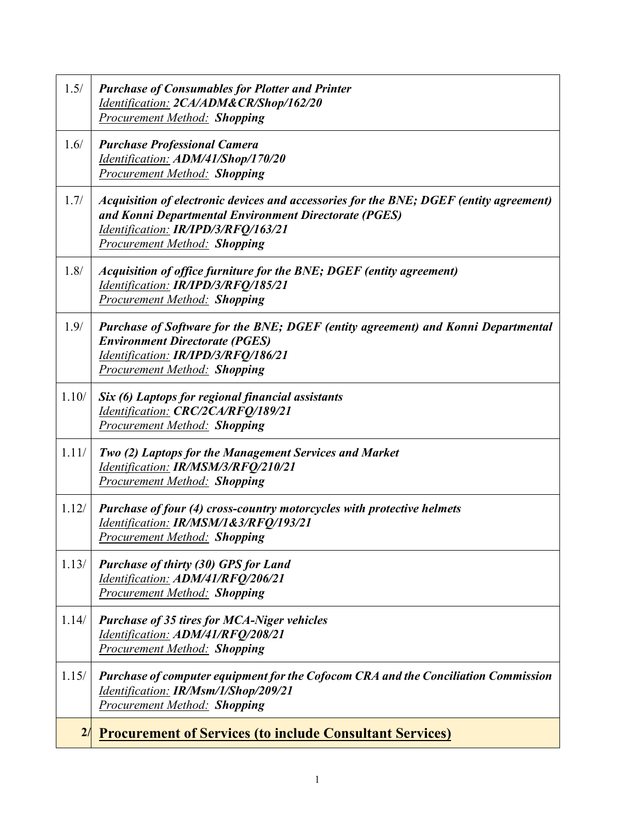| 1.5/  | <b>Purchase of Consumables for Plotter and Printer</b><br>Identification: 2CA/ADM&CR/Shop/162/20<br><b>Procurement Method: Shopping</b>                                                                                       |
|-------|-------------------------------------------------------------------------------------------------------------------------------------------------------------------------------------------------------------------------------|
| 1.6/  | <b>Purchase Professional Camera</b><br>Identification: ADM/41/Shop/170/20<br><b>Procurement Method: Shopping</b>                                                                                                              |
| 1.7/  | Acquisition of electronic devices and accessories for the BNE; DGEF (entity agreement)<br>and Konni Departmental Environment Directorate (PGES)<br>Identification: IR/IPD/3/RFQ/163/21<br><b>Procurement Method: Shopping</b> |
| 1.8/  | Acquisition of office furniture for the BNE; DGEF (entity agreement)<br>Identification: IR/IPD/3/RFQ/185/21<br><b>Procurement Method: Shopping</b>                                                                            |
| 1.9/  | Purchase of Software for the BNE; DGEF (entity agreement) and Konni Departmental<br><b>Environment Directorate (PGES)</b><br>Identification: IR/IPD/3/RFQ/186/21<br><b>Procurement Method: Shopping</b>                       |
| 1.10/ | Six (6) Laptops for regional financial assistants<br>Identification: CRC/2CA/RFQ/189/21<br><b>Procurement Method: Shopping</b>                                                                                                |
| 1.11/ | <b>Two (2) Laptops for the Management Services and Market</b><br>Identification: IR/MSM/3/RFQ/210/21<br><b>Procurement Method: Shopping</b>                                                                                   |
| 1.12/ | Purchase of four (4) cross-country motorcycles with protective helmets<br>Identification: IR/MSM/1&3/RFO/193/21<br><b>Procurement Method: Shopping</b>                                                                        |
| 1.13/ | <b>Purchase of thirty (30) GPS for Land</b><br>Identification: ADM/41/RFQ/206/21<br>Procurement Method: Shopping                                                                                                              |
| 1.14/ | <b>Purchase of 35 tires for MCA-Niger vehicles</b><br>Identification: ADM/41/RFQ/208/21<br><b>Procurement Method: Shopping</b>                                                                                                |
| 1.15/ | Purchase of computer equipment for the Cofocom CRA and the Conciliation Commission<br>Identification: IR/Msm/1/Shop/209/21<br><b>Procurement Method: Shopping</b>                                                             |
| 2/    | <b>Procurement of Services (to include Consultant Services)</b>                                                                                                                                                               |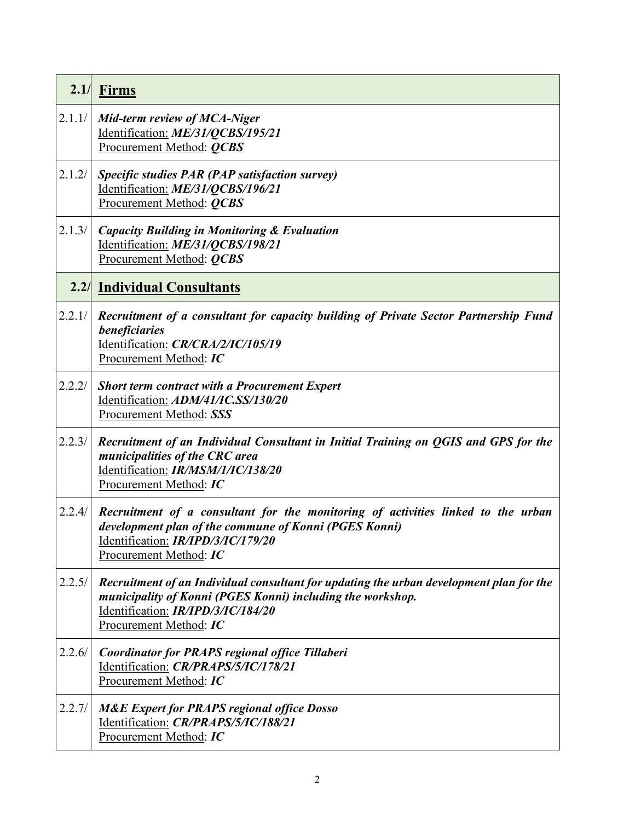|        | $2.1/$ Firms                                                                                                                                                                                                          |
|--------|-----------------------------------------------------------------------------------------------------------------------------------------------------------------------------------------------------------------------|
| 2.1.1/ | Mid-term review of MCA-Niger<br>Identification: ME/31/QCBS/195/21<br>Procurement Method: <i>QCBS</i>                                                                                                                  |
| 2.1.2/ | Specific studies PAR (PAP satisfaction survey)<br>Identification: ME/31/QCBS/196/21<br>Procurement Method: QCBS                                                                                                       |
| 2.1.3/ | <b>Capacity Building in Monitoring &amp; Evaluation</b><br>Identification: ME/31/QCBS/198/21<br>Procurement Method: <i>QCBS</i>                                                                                       |
|        | <b>2.2/ Individual Consultants</b>                                                                                                                                                                                    |
| 2.2.1/ | Recruitment of a consultant for capacity building of Private Sector Partnership Fund<br>beneficiaries<br>Identification: CR/CRA/2/IC/105/19<br>Procurement Method: IC                                                 |
| 2.2.2/ | <b>Short term contract with a Procurement Expert</b><br>Identification: ADM/41/IC.SS/130/20<br>Procurement Method: SSS                                                                                                |
| 2.2.3/ | Recruitment of an Individual Consultant in Initial Training on QGIS and GPS for the<br>municipalities of the CRC area<br>Identification: IR/MSM/1/IC/138/20<br>Procurement Method: IC                                 |
| 2.2.4/ | Recruitment of a consultant for the monitoring of activities linked to the urban<br>development plan of the commune of Konni (PGES Konni)<br>Identification: IR/IPD/3/IC/179/20<br>Procurement Method: IC             |
| 2.2.5/ | Recruitment of an Individual consultant for updating the urban development plan for the<br>municipality of Konni (PGES Konni) including the workshop.<br>Identification: IR/IPD/3/IC/184/20<br>Procurement Method: IC |
| 2.2.6/ | Coordinator for PRAPS regional office Tillaberi<br>Identification: CR/PRAPS/5/IC/178/21<br>Procurement Method: IC                                                                                                     |
| 2.2.7/ | <b>M&amp;E Expert for PRAPS regional office Dosso</b><br>Identification: CR/PRAPS/5/IC/188/21<br>Procurement Method: IC                                                                                               |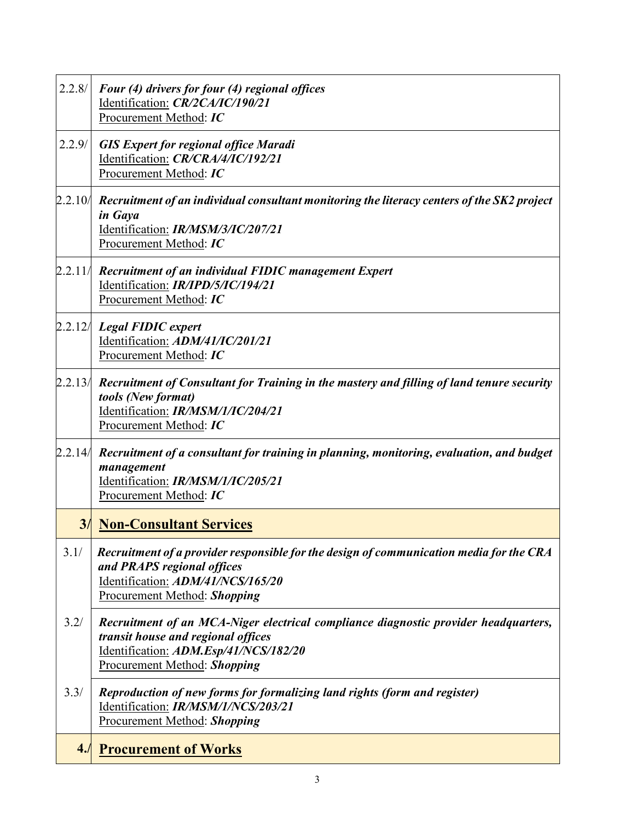| 2.2.8/  | Four (4) drivers for four (4) regional offices<br>Identification: CR/2CA/IC/190/21<br>Procurement Method: IC                                                                                              |
|---------|-----------------------------------------------------------------------------------------------------------------------------------------------------------------------------------------------------------|
| 2.2.9/  | <b>GIS Expert for regional office Maradi</b><br>Identification: CR/CRA/4/IC/192/21<br>Procurement Method: IC                                                                                              |
| 2.2.10/ | Recruitment of an individual consultant monitoring the literacy centers of the SK2 project<br>in Gaya<br>Identification: IR/MSM/3/IC/207/21<br>Procurement Method: IC                                     |
| 2.2.11/ | Recruitment of an individual FIDIC management Expert<br>Identification: IR/IPD/5/IC/194/21<br>Procurement Method: IC                                                                                      |
|         | $2.2.12/$ Legal FIDIC expert<br>Identification: ADM/41/IC/201/21<br>Procurement Method: IC                                                                                                                |
| 2.2.13/ | Recruitment of Consultant for Training in the mastery and filling of land tenure security<br>tools (New format)<br>Identification: IR/MSM/1/IC/204/21<br>Procurement Method: IC                           |
| 2.2.14/ | Recruitment of a consultant for training in planning, monitoring, evaluation, and budget<br>management<br>Identification: IR/MSM/1/IC/205/21<br>Procurement Method: IC                                    |
| 3/      | <b>Non-Consultant Services</b>                                                                                                                                                                            |
| 3.1/    | Recruitment of a provider responsible for the design of communication media for the CRA<br>and PRAPS regional offices<br>Identification: ADM/41/NCS/165/20<br><b>Procurement Method: Shopping</b>         |
| 3.2/    | Recruitment of an MCA-Niger electrical compliance diagnostic provider headquarters,<br>transit house and regional offices<br>Identification: ADM.Esp/41/NCS/182/20<br><b>Procurement Method: Shopping</b> |
| 3.3/    | Reproduction of new forms for formalizing land rights (form and register)<br>Identification: IR/MSM/1/NCS/203/21<br><b>Procurement Method: Shopping</b>                                                   |
| 4.1     | <b>Procurement of Works</b>                                                                                                                                                                               |